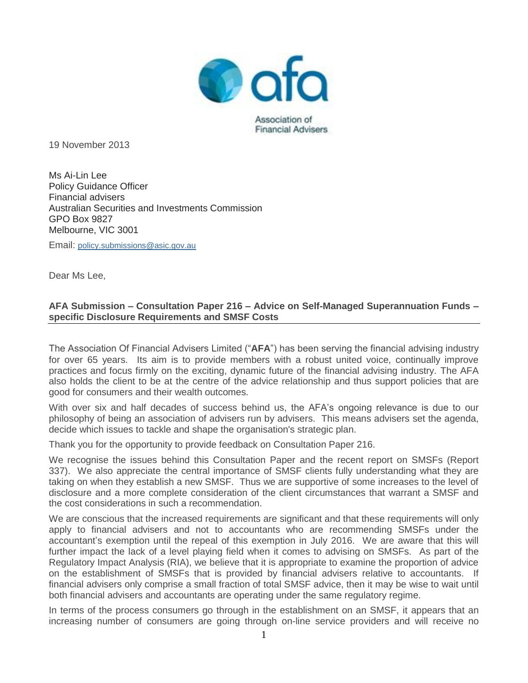

19 November 2013

Ms Ai-Lin Lee Policy Guidance Officer Financial advisers Australian Securities and Investments Commission GPO Box 9827 Melbourne, VIC 3001

Email: [policy.submissions@asic.gov.au](mailto:policy.submissions@asic.gov.au)

Dear Ms Lee,

### **AFA Submission – Consultation Paper 216 – Advice on Self-Managed Superannuation Funds – specific Disclosure Requirements and SMSF Costs**

The Association Of Financial Advisers Limited ("**AFA**") has been serving the financial advising industry for over 65 years. Its aim is to provide members with a robust united voice, continually improve practices and focus firmly on the exciting, dynamic future of the financial advising industry. The AFA also holds the client to be at the centre of the advice relationship and thus support policies that are good for consumers and their wealth outcomes.

With over six and half decades of success behind us, the AFA's ongoing relevance is due to our philosophy of being an association of advisers run by advisers. This means advisers set the agenda, decide which issues to tackle and shape the organisation's strategic plan.

Thank you for the opportunity to provide feedback on Consultation Paper 216.

We recognise the issues behind this Consultation Paper and the recent report on SMSFs (Report 337). We also appreciate the central importance of SMSF clients fully understanding what they are taking on when they establish a new SMSF. Thus we are supportive of some increases to the level of disclosure and a more complete consideration of the client circumstances that warrant a SMSF and the cost considerations in such a recommendation.

We are conscious that the increased requirements are significant and that these requirements will only apply to financial advisers and not to accountants who are recommending SMSFs under the accountant's exemption until the repeal of this exemption in July 2016. We are aware that this will further impact the lack of a level playing field when it comes to advising on SMSFs. As part of the Regulatory Impact Analysis (RIA), we believe that it is appropriate to examine the proportion of advice on the establishment of SMSFs that is provided by financial advisers relative to accountants. If financial advisers only comprise a small fraction of total SMSF advice, then it may be wise to wait until both financial advisers and accountants are operating under the same regulatory regime.

In terms of the process consumers go through in the establishment on an SMSF, it appears that an increasing number of consumers are going through on-line service providers and will receive no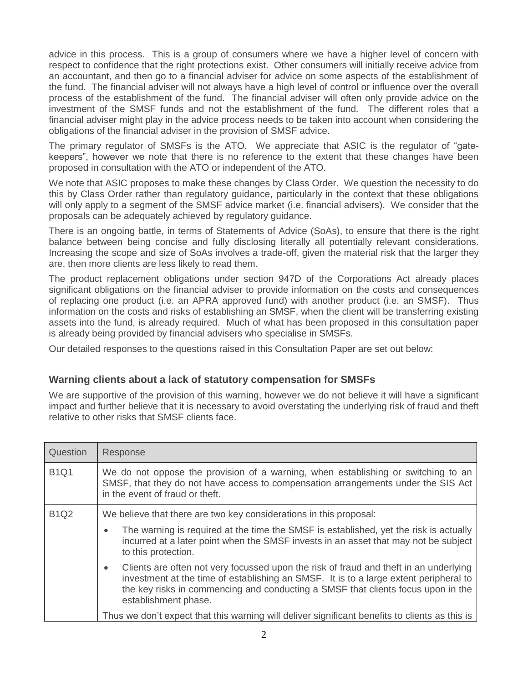advice in this process. This is a group of consumers where we have a higher level of concern with respect to confidence that the right protections exist. Other consumers will initially receive advice from an accountant, and then go to a financial adviser for advice on some aspects of the establishment of the fund. The financial adviser will not always have a high level of control or influence over the overall process of the establishment of the fund. The financial adviser will often only provide advice on the investment of the SMSF funds and not the establishment of the fund. The different roles that a financial adviser might play in the advice process needs to be taken into account when considering the obligations of the financial adviser in the provision of SMSF advice.

The primary regulator of SMSFs is the ATO. We appreciate that ASIC is the regulator of "gatekeepers", however we note that there is no reference to the extent that these changes have been proposed in consultation with the ATO or independent of the ATO.

We note that ASIC proposes to make these changes by Class Order. We question the necessity to do this by Class Order rather than regulatory guidance, particularly in the context that these obligations will only apply to a segment of the SMSF advice market (i.e. financial advisers). We consider that the proposals can be adequately achieved by regulatory guidance.

There is an ongoing battle, in terms of Statements of Advice (SoAs), to ensure that there is the right balance between being concise and fully disclosing literally all potentially relevant considerations. Increasing the scope and size of SoAs involves a trade-off, given the material risk that the larger they are, then more clients are less likely to read them.

The product replacement obligations under section 947D of the Corporations Act already places significant obligations on the financial adviser to provide information on the costs and consequences of replacing one product (i.e. an APRA approved fund) with another product (i.e. an SMSF). Thus information on the costs and risks of establishing an SMSF, when the client will be transferring existing assets into the fund, is already required. Much of what has been proposed in this consultation paper is already being provided by financial advisers who specialise in SMSFs.

Our detailed responses to the questions raised in this Consultation Paper are set out below:

# **Warning clients about a lack of statutory compensation for SMSFs**

We are supportive of the provision of this warning, however we do not believe it will have a significant impact and further believe that it is necessary to avoid overstating the underlying risk of fraud and theft relative to other risks that SMSF clients face.

| Question    | Response                                                                                                                                                                                                                                                                                                |
|-------------|---------------------------------------------------------------------------------------------------------------------------------------------------------------------------------------------------------------------------------------------------------------------------------------------------------|
| <b>B1Q1</b> | We do not oppose the provision of a warning, when establishing or switching to an<br>SMSF, that they do not have access to compensation arrangements under the SIS Act<br>in the event of fraud or theft.                                                                                               |
| <b>B1Q2</b> | We believe that there are two key considerations in this proposal:                                                                                                                                                                                                                                      |
|             | The warning is required at the time the SMSF is established, yet the risk is actually<br>$\bullet$<br>incurred at a later point when the SMSF invests in an asset that may not be subject<br>to this protection.                                                                                        |
|             | Clients are often not very focussed upon the risk of fraud and theft in an underlying<br>$\bullet$<br>investment at the time of establishing an SMSF. It is to a large extent peripheral to<br>the key risks in commencing and conducting a SMSF that clients focus upon in the<br>establishment phase. |
|             | Thus we don't expect that this warning will deliver significant benefits to clients as this is                                                                                                                                                                                                          |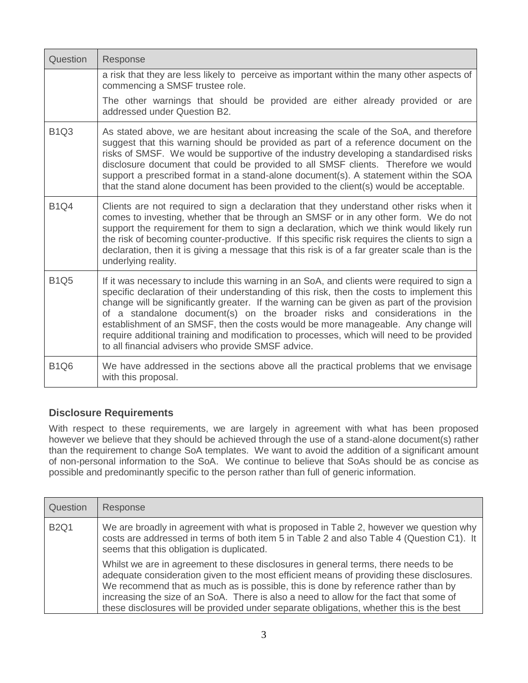| Question    | Response                                                                                                                                                                                                                                                                                                                                                                                                                                                                                                                                                                                                      |
|-------------|---------------------------------------------------------------------------------------------------------------------------------------------------------------------------------------------------------------------------------------------------------------------------------------------------------------------------------------------------------------------------------------------------------------------------------------------------------------------------------------------------------------------------------------------------------------------------------------------------------------|
|             | a risk that they are less likely to perceive as important within the many other aspects of<br>commencing a SMSF trustee role.                                                                                                                                                                                                                                                                                                                                                                                                                                                                                 |
|             | The other warnings that should be provided are either already provided or are<br>addressed under Question B2.                                                                                                                                                                                                                                                                                                                                                                                                                                                                                                 |
| <b>B1Q3</b> | As stated above, we are hesitant about increasing the scale of the SoA, and therefore<br>suggest that this warning should be provided as part of a reference document on the<br>risks of SMSF. We would be supportive of the industry developing a standardised risks<br>disclosure document that could be provided to all SMSF clients. Therefore we would<br>support a prescribed format in a stand-alone document(s). A statement within the SOA<br>that the stand alone document has been provided to the client(s) would be acceptable.                                                                  |
| <b>B1Q4</b> | Clients are not required to sign a declaration that they understand other risks when it<br>comes to investing, whether that be through an SMSF or in any other form. We do not<br>support the requirement for them to sign a declaration, which we think would likely run<br>the risk of becoming counter-productive. If this specific risk requires the clients to sign a<br>declaration, then it is giving a message that this risk is of a far greater scale than is the<br>underlying reality.                                                                                                            |
| <b>B1Q5</b> | If it was necessary to include this warning in an SoA, and clients were required to sign a<br>specific declaration of their understanding of this risk, then the costs to implement this<br>change will be significantly greater. If the warning can be given as part of the provision<br>of a standalone document(s) on the broader risks and considerations in the<br>establishment of an SMSF, then the costs would be more manageable. Any change will<br>require additional training and modification to processes, which will need to be provided<br>to all financial advisers who provide SMSF advice. |
| <b>B1Q6</b> | We have addressed in the sections above all the practical problems that we envisage<br>with this proposal.                                                                                                                                                                                                                                                                                                                                                                                                                                                                                                    |

# **Disclosure Requirements**

With respect to these requirements, we are largely in agreement with what has been proposed however we believe that they should be achieved through the use of a stand-alone document(s) rather than the requirement to change SoA templates. We want to avoid the addition of a significant amount of non-personal information to the SoA. We continue to believe that SoAs should be as concise as possible and predominantly specific to the person rather than full of generic information.

| Question    | Response                                                                                                                                                                                                                                                                                                                                                                                                                                                   |
|-------------|------------------------------------------------------------------------------------------------------------------------------------------------------------------------------------------------------------------------------------------------------------------------------------------------------------------------------------------------------------------------------------------------------------------------------------------------------------|
| <b>B2Q1</b> | We are broadly in agreement with what is proposed in Table 2, however we question why<br>costs are addressed in terms of both item 5 in Table 2 and also Table 4 (Question C1). It<br>seems that this obligation is duplicated.                                                                                                                                                                                                                            |
|             | Whilst we are in agreement to these disclosures in general terms, there needs to be<br>adequate consideration given to the most efficient means of providing these disclosures.<br>We recommend that as much as is possible, this is done by reference rather than by<br>increasing the size of an SoA. There is also a need to allow for the fact that some of<br>these disclosures will be provided under separate obligations, whether this is the best |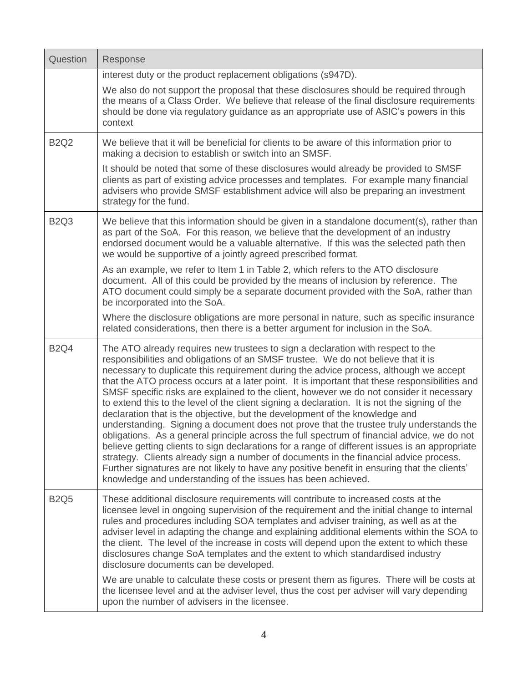| Question    | Response                                                                                                                                                                                                                                                                                                                                                                                                                                                                                                                                                                                                                                                                                                                                                                                                                                                                                                                                                                                                                                                                                                                                                                                        |
|-------------|-------------------------------------------------------------------------------------------------------------------------------------------------------------------------------------------------------------------------------------------------------------------------------------------------------------------------------------------------------------------------------------------------------------------------------------------------------------------------------------------------------------------------------------------------------------------------------------------------------------------------------------------------------------------------------------------------------------------------------------------------------------------------------------------------------------------------------------------------------------------------------------------------------------------------------------------------------------------------------------------------------------------------------------------------------------------------------------------------------------------------------------------------------------------------------------------------|
|             | interest duty or the product replacement obligations (s947D).                                                                                                                                                                                                                                                                                                                                                                                                                                                                                                                                                                                                                                                                                                                                                                                                                                                                                                                                                                                                                                                                                                                                   |
|             | We also do not support the proposal that these disclosures should be required through<br>the means of a Class Order. We believe that release of the final disclosure requirements<br>should be done via regulatory guidance as an appropriate use of ASIC's powers in this<br>context                                                                                                                                                                                                                                                                                                                                                                                                                                                                                                                                                                                                                                                                                                                                                                                                                                                                                                           |
| <b>B2Q2</b> | We believe that it will be beneficial for clients to be aware of this information prior to<br>making a decision to establish or switch into an SMSF.                                                                                                                                                                                                                                                                                                                                                                                                                                                                                                                                                                                                                                                                                                                                                                                                                                                                                                                                                                                                                                            |
|             | It should be noted that some of these disclosures would already be provided to SMSF<br>clients as part of existing advice processes and templates. For example many financial<br>advisers who provide SMSF establishment advice will also be preparing an investment<br>strategy for the fund.                                                                                                                                                                                                                                                                                                                                                                                                                                                                                                                                                                                                                                                                                                                                                                                                                                                                                                  |
| <b>B2Q3</b> | We believe that this information should be given in a standalone document(s), rather than<br>as part of the SoA. For this reason, we believe that the development of an industry<br>endorsed document would be a valuable alternative. If this was the selected path then<br>we would be supportive of a jointly agreed prescribed format.                                                                                                                                                                                                                                                                                                                                                                                                                                                                                                                                                                                                                                                                                                                                                                                                                                                      |
|             | As an example, we refer to Item 1 in Table 2, which refers to the ATO disclosure<br>document. All of this could be provided by the means of inclusion by reference. The<br>ATO document could simply be a separate document provided with the SoA, rather than<br>be incorporated into the SoA.                                                                                                                                                                                                                                                                                                                                                                                                                                                                                                                                                                                                                                                                                                                                                                                                                                                                                                 |
|             | Where the disclosure obligations are more personal in nature, such as specific insurance<br>related considerations, then there is a better argument for inclusion in the SoA.                                                                                                                                                                                                                                                                                                                                                                                                                                                                                                                                                                                                                                                                                                                                                                                                                                                                                                                                                                                                                   |
| <b>B2Q4</b> | The ATO already requires new trustees to sign a declaration with respect to the<br>responsibilities and obligations of an SMSF trustee. We do not believe that it is<br>necessary to duplicate this requirement during the advice process, although we accept<br>that the ATO process occurs at a later point. It is important that these responsibilities and<br>SMSF specific risks are explained to the client, however we do not consider it necessary<br>to extend this to the level of the client signing a declaration. It is not the signing of the<br>declaration that is the objective, but the development of the knowledge and<br>understanding. Signing a document does not prove that the trustee truly understands the<br>obligations. As a general principle across the full spectrum of financial advice, we do not<br>believe getting clients to sign declarations for a range of different issues is an appropriate<br>strategy. Clients already sign a number of documents in the financial advice process.<br>Further signatures are not likely to have any positive benefit in ensuring that the clients'<br>knowledge and understanding of the issues has been achieved. |
| <b>B2Q5</b> | These additional disclosure requirements will contribute to increased costs at the<br>licensee level in ongoing supervision of the requirement and the initial change to internal<br>rules and procedures including SOA templates and adviser training, as well as at the<br>adviser level in adapting the change and explaining additional elements within the SOA to<br>the client. The level of the increase in costs will depend upon the extent to which these<br>disclosures change SoA templates and the extent to which standardised industry<br>disclosure documents can be developed.                                                                                                                                                                                                                                                                                                                                                                                                                                                                                                                                                                                                 |
|             | We are unable to calculate these costs or present them as figures. There will be costs at<br>the licensee level and at the adviser level, thus the cost per adviser will vary depending<br>upon the number of advisers in the licensee.                                                                                                                                                                                                                                                                                                                                                                                                                                                                                                                                                                                                                                                                                                                                                                                                                                                                                                                                                         |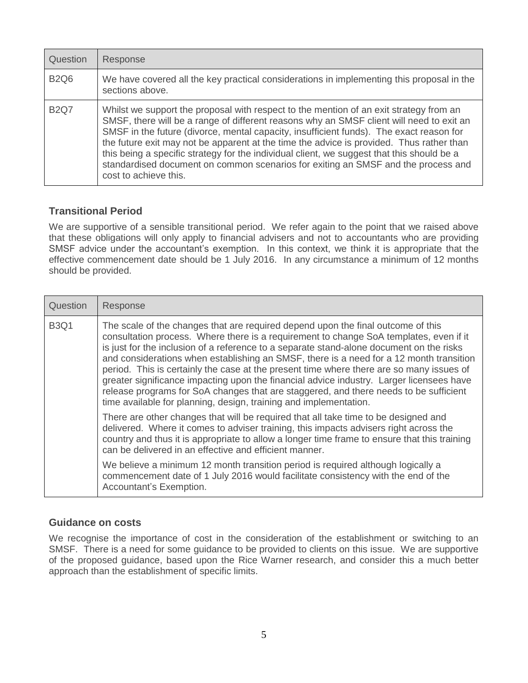| Question    | Response                                                                                                                                                                                                                                                                                                                                                                                                                                                                                                                                                                              |
|-------------|---------------------------------------------------------------------------------------------------------------------------------------------------------------------------------------------------------------------------------------------------------------------------------------------------------------------------------------------------------------------------------------------------------------------------------------------------------------------------------------------------------------------------------------------------------------------------------------|
| <b>B2Q6</b> | We have covered all the key practical considerations in implementing this proposal in the<br>sections above.                                                                                                                                                                                                                                                                                                                                                                                                                                                                          |
| <b>B2Q7</b> | Whilst we support the proposal with respect to the mention of an exit strategy from an<br>SMSF, there will be a range of different reasons why an SMSF client will need to exit an<br>SMSF in the future (divorce, mental capacity, insufficient funds). The exact reason for<br>the future exit may not be apparent at the time the advice is provided. Thus rather than<br>this being a specific strategy for the individual client, we suggest that this should be a<br>standardised document on common scenarios for exiting an SMSF and the process and<br>cost to achieve this. |

# **Transitional Period**

We are supportive of a sensible transitional period. We refer again to the point that we raised above that these obligations will only apply to financial advisers and not to accountants who are providing SMSF advice under the accountant's exemption. In this context, we think it is appropriate that the effective commencement date should be 1 July 2016. In any circumstance a minimum of 12 months should be provided.

| Question    | Response                                                                                                                                                                                                                                                                                                                                                                                                                                                                                                                                                                                                                                                                                                                |
|-------------|-------------------------------------------------------------------------------------------------------------------------------------------------------------------------------------------------------------------------------------------------------------------------------------------------------------------------------------------------------------------------------------------------------------------------------------------------------------------------------------------------------------------------------------------------------------------------------------------------------------------------------------------------------------------------------------------------------------------------|
| <b>B3Q1</b> | The scale of the changes that are required depend upon the final outcome of this<br>consultation process. Where there is a requirement to change SoA templates, even if it<br>is just for the inclusion of a reference to a separate stand-alone document on the risks<br>and considerations when establishing an SMSF, there is a need for a 12 month transition<br>period. This is certainly the case at the present time where there are so many issues of<br>greater significance impacting upon the financial advice industry. Larger licensees have<br>release programs for SoA changes that are staggered, and there needs to be sufficient<br>time available for planning, design, training and implementation. |
|             | There are other changes that will be required that all take time to be designed and<br>delivered. Where it comes to adviser training, this impacts advisers right across the<br>country and thus it is appropriate to allow a longer time frame to ensure that this training<br>can be delivered in an effective and efficient manner.                                                                                                                                                                                                                                                                                                                                                                                  |
|             | We believe a minimum 12 month transition period is required although logically a<br>commencement date of 1 July 2016 would facilitate consistency with the end of the<br>Accountant's Exemption.                                                                                                                                                                                                                                                                                                                                                                                                                                                                                                                        |

# **Guidance on costs**

We recognise the importance of cost in the consideration of the establishment or switching to an SMSF. There is a need for some guidance to be provided to clients on this issue. We are supportive of the proposed guidance, based upon the Rice Warner research, and consider this a much better approach than the establishment of specific limits.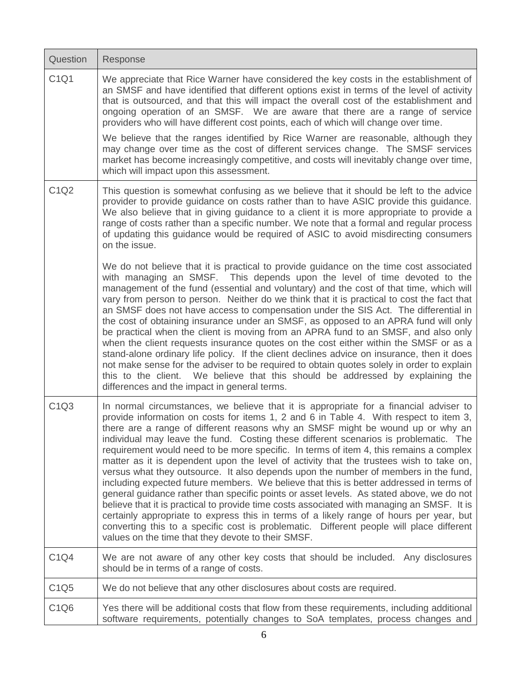| Question                      | Response                                                                                                                                                                                                                                                                                                                                                                                                                                                                                                                                                                                                                                                                                                                                                                                                                                                                                                                                                                                                                                                                                                                                                               |
|-------------------------------|------------------------------------------------------------------------------------------------------------------------------------------------------------------------------------------------------------------------------------------------------------------------------------------------------------------------------------------------------------------------------------------------------------------------------------------------------------------------------------------------------------------------------------------------------------------------------------------------------------------------------------------------------------------------------------------------------------------------------------------------------------------------------------------------------------------------------------------------------------------------------------------------------------------------------------------------------------------------------------------------------------------------------------------------------------------------------------------------------------------------------------------------------------------------|
| C1Q1                          | We appreciate that Rice Warner have considered the key costs in the establishment of<br>an SMSF and have identified that different options exist in terms of the level of activity<br>that is outsourced, and that this will impact the overall cost of the establishment and<br>ongoing operation of an SMSF. We are aware that there are a range of service<br>providers who will have different cost points, each of which will change over time.                                                                                                                                                                                                                                                                                                                                                                                                                                                                                                                                                                                                                                                                                                                   |
|                               | We believe that the ranges identified by Rice Warner are reasonable, although they<br>may change over time as the cost of different services change. The SMSF services<br>market has become increasingly competitive, and costs will inevitably change over time,<br>which will impact upon this assessment.                                                                                                                                                                                                                                                                                                                                                                                                                                                                                                                                                                                                                                                                                                                                                                                                                                                           |
| C1Q2                          | This question is somewhat confusing as we believe that it should be left to the advice<br>provider to provide guidance on costs rather than to have ASIC provide this guidance.<br>We also believe that in giving guidance to a client it is more appropriate to provide a<br>range of costs rather than a specific number. We note that a formal and regular process<br>of updating this guidance would be required of ASIC to avoid misdirecting consumers<br>on the issue.                                                                                                                                                                                                                                                                                                                                                                                                                                                                                                                                                                                                                                                                                          |
|                               | We do not believe that it is practical to provide guidance on the time cost associated<br>with managing an SMSF. This depends upon the level of time devoted to the<br>management of the fund (essential and voluntary) and the cost of that time, which will<br>vary from person to person. Neither do we think that it is practical to cost the fact that<br>an SMSF does not have access to compensation under the SIS Act. The differential in<br>the cost of obtaining insurance under an SMSF, as opposed to an APRA fund will only<br>be practical when the client is moving from an APRA fund to an SMSF, and also only<br>when the client requests insurance quotes on the cost either within the SMSF or as a<br>stand-alone ordinary life policy. If the client declines advice on insurance, then it does<br>not make sense for the adviser to be required to obtain quotes solely in order to explain<br>this to the client. We believe that this should be addressed by explaining the<br>differences and the impact in general terms.                                                                                                                   |
| C <sub>1</sub> Q <sub>3</sub> | In normal circumstances, we believe that it is appropriate for a financial adviser to<br>provide information on costs for items 1, 2 and 6 in Table 4. With respect to item 3,<br>there are a range of different reasons why an SMSF might be wound up or why an<br>individual may leave the fund. Costing these different scenarios is problematic. The<br>requirement would need to be more specific. In terms of item 4, this remains a complex<br>matter as it is dependent upon the level of activity that the trustees wish to take on,<br>versus what they outsource. It also depends upon the number of members in the fund,<br>including expected future members. We believe that this is better addressed in terms of<br>general guidance rather than specific points or asset levels. As stated above, we do not<br>believe that it is practical to provide time costs associated with managing an SMSF. It is<br>certainly appropriate to express this in terms of a likely range of hours per year, but<br>converting this to a specific cost is problematic. Different people will place different<br>values on the time that they devote to their SMSF. |
| C1Q4                          | We are not aware of any other key costs that should be included. Any disclosures<br>should be in terms of a range of costs.                                                                                                                                                                                                                                                                                                                                                                                                                                                                                                                                                                                                                                                                                                                                                                                                                                                                                                                                                                                                                                            |
| C1Q5                          | We do not believe that any other disclosures about costs are required.                                                                                                                                                                                                                                                                                                                                                                                                                                                                                                                                                                                                                                                                                                                                                                                                                                                                                                                                                                                                                                                                                                 |
| C1Q6                          | Yes there will be additional costs that flow from these requirements, including additional<br>software requirements, potentially changes to SoA templates, process changes and                                                                                                                                                                                                                                                                                                                                                                                                                                                                                                                                                                                                                                                                                                                                                                                                                                                                                                                                                                                         |